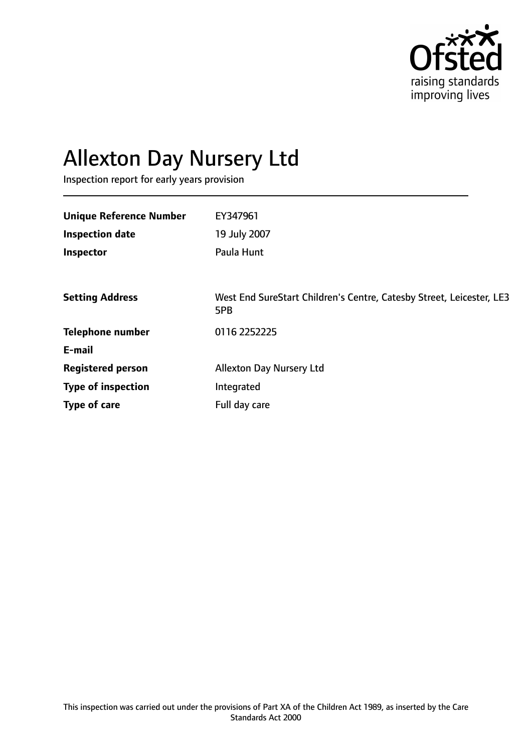

# Allexton Day Nursery Ltd

Inspection report for early years provision

| <b>Unique Reference Number</b> | EY347961                                                                    |
|--------------------------------|-----------------------------------------------------------------------------|
| <b>Inspection date</b>         | 19 July 2007                                                                |
| Inspector                      | Paula Hunt                                                                  |
|                                |                                                                             |
| <b>Setting Address</b>         | West End SureStart Children's Centre, Catesby Street, Leicester, LE3<br>5PB |
| <b>Telephone number</b>        | 0116 2252225                                                                |
| E-mail                         |                                                                             |
| <b>Registered person</b>       | <b>Allexton Day Nursery Ltd</b>                                             |
| <b>Type of inspection</b>      | Integrated                                                                  |
| Type of care                   | Full day care                                                               |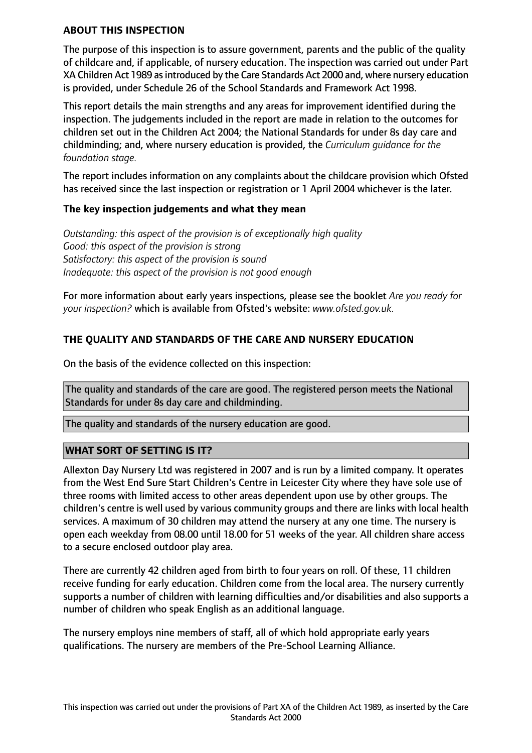#### **ABOUT THIS INSPECTION**

The purpose of this inspection is to assure government, parents and the public of the quality of childcare and, if applicable, of nursery education. The inspection was carried out under Part XA Children Act 1989 as introduced by the Care Standards Act 2000 and, where nursery education is provided, under Schedule 26 of the School Standards and Framework Act 1998.

This report details the main strengths and any areas for improvement identified during the inspection. The judgements included in the report are made in relation to the outcomes for children set out in the Children Act 2004; the National Standards for under 8s day care and childminding; and, where nursery education is provided, the *Curriculum guidance for the foundation stage.*

The report includes information on any complaints about the childcare provision which Ofsted has received since the last inspection or registration or 1 April 2004 whichever is the later.

#### **The key inspection judgements and what they mean**

*Outstanding: this aspect of the provision is of exceptionally high quality Good: this aspect of the provision is strong Satisfactory: this aspect of the provision is sound Inadequate: this aspect of the provision is not good enough*

For more information about early years inspections, please see the booklet *Are you ready for your inspection?* which is available from Ofsted's website: *www.ofsted.gov.uk.*

## **THE QUALITY AND STANDARDS OF THE CARE AND NURSERY EDUCATION**

On the basis of the evidence collected on this inspection:

The quality and standards of the care are good. The registered person meets the National Standards for under 8s day care and childminding.

The quality and standards of the nursery education are good.

#### **WHAT SORT OF SETTING IS IT?**

Allexton Day Nursery Ltd was registered in 2007 and is run by a limited company. It operates from the West End Sure Start Children's Centre in Leicester City where they have sole use of three rooms with limited access to other areas dependent upon use by other groups. The children's centre is well used by various community groups and there are links with local health services. A maximum of 30 children may attend the nursery at any one time. The nursery is open each weekday from 08.00 until 18.00 for 51 weeks of the year. All children share access to a secure enclosed outdoor play area.

There are currently 42 children aged from birth to four years on roll. Of these, 11 children receive funding for early education. Children come from the local area. The nursery currently supports a number of children with learning difficulties and/or disabilities and also supports a number of children who speak English as an additional language.

The nursery employs nine members of staff, all of which hold appropriate early years qualifications. The nursery are members of the Pre-School Learning Alliance.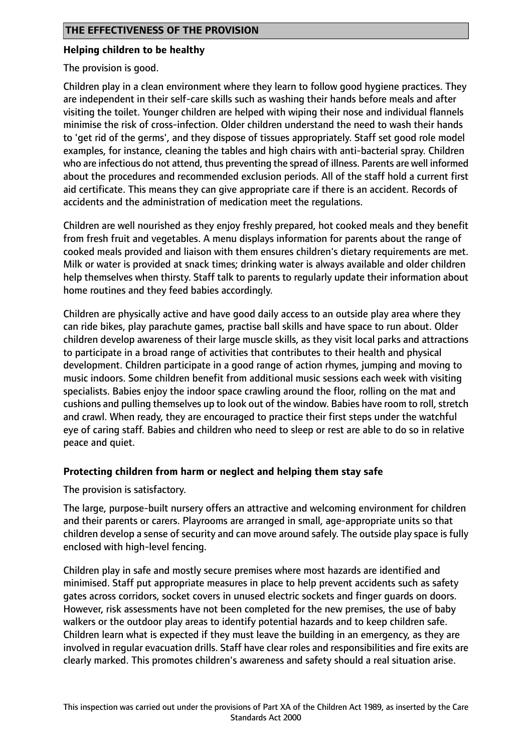#### **Helping children to be healthy**

The provision is good.

Children play in a clean environment where they learn to follow good hygiene practices. They are independent in their self-care skills such as washing their hands before meals and after visiting the toilet. Younger children are helped with wiping their nose and individual flannels minimise the risk of cross-infection. Older children understand the need to wash their hands to 'get rid of the germs', and they dispose of tissues appropriately. Staff set good role model examples, for instance, cleaning the tables and high chairs with anti-bacterial spray. Children who are infectious do not attend, thus preventing the spread of illness. Parents are well informed about the procedures and recommended exclusion periods. All of the staff hold a current first aid certificate. This means they can give appropriate care if there is an accident. Records of accidents and the administration of medication meet the regulations.

Children are well nourished as they enjoy freshly prepared, hot cooked meals and they benefit from fresh fruit and vegetables. A menu displays information for parents about the range of cooked meals provided and liaison with them ensures children's dietary requirements are met. Milk or water is provided at snack times; drinking water is always available and older children help themselves when thirsty. Staff talk to parents to regularly update their information about home routines and they feed babies accordingly.

Children are physically active and have good daily access to an outside play area where they can ride bikes, play parachute games, practise ball skills and have space to run about. Older children develop awareness of their large muscle skills, as they visit local parks and attractions to participate in a broad range of activities that contributes to their health and physical development. Children participate in a good range of action rhymes, jumping and moving to music indoors. Some children benefit from additional music sessions each week with visiting specialists. Babies enjoy the indoor space crawling around the floor, rolling on the mat and cushions and pulling themselves up to look out of the window. Babies have room to roll, stretch and crawl. When ready, they are encouraged to practice their first steps under the watchful eye of caring staff. Babies and children who need to sleep or rest are able to do so in relative peace and quiet.

#### **Protecting children from harm or neglect and helping them stay safe**

The provision is satisfactory.

The large, purpose-built nursery offers an attractive and welcoming environment for children and their parents or carers. Playrooms are arranged in small, age-appropriate units so that children develop a sense of security and can move around safely. The outside play space is fully enclosed with high-level fencing.

Children play in safe and mostly secure premises where most hazards are identified and minimised. Staff put appropriate measures in place to help prevent accidents such as safety gates across corridors, socket covers in unused electric sockets and finger guards on doors. However, risk assessments have not been completed for the new premises, the use of baby walkers or the outdoor play areas to identify potential hazards and to keep children safe. Children learn what is expected if they must leave the building in an emergency, as they are involved in regular evacuation drills. Staff have clear roles and responsibilities and fire exits are clearly marked. This promotes children's awareness and safety should a real situation arise.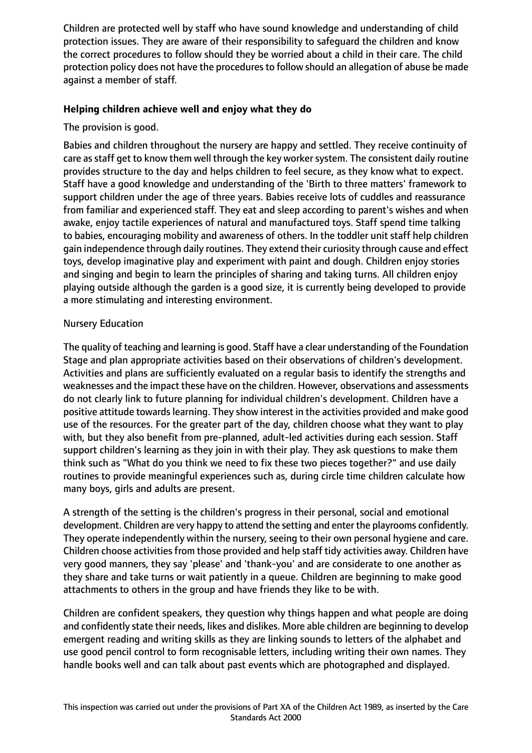Children are protected well by staff who have sound knowledge and understanding of child protection issues. They are aware of their responsibility to safeguard the children and know the correct procedures to follow should they be worried about a child in their care. The child protection policy does not have the procedures to follow should an allegation of abuse be made against a member of staff.

## **Helping children achieve well and enjoy what they do**

The provision is good.

Babies and children throughout the nursery are happy and settled. They receive continuity of care as staff get to know them well through the key worker system. The consistent daily routine provides structure to the day and helps children to feel secure, as they know what to expect. Staff have a good knowledge and understanding of the 'Birth to three matters' framework to support children under the age of three years. Babies receive lots of cuddles and reassurance from familiar and experienced staff. They eat and sleep according to parent's wishes and when awake, enjoy tactile experiences of natural and manufactured toys. Staff spend time talking to babies, encouraging mobility and awareness of others. In the toddler unit staff help children gain independence through daily routines. They extend their curiosity through cause and effect toys, develop imaginative play and experiment with paint and dough. Children enjoy stories and singing and begin to learn the principles of sharing and taking turns. All children enjoy playing outside although the garden is a good size, it is currently being developed to provide a more stimulating and interesting environment.

## Nursery Education

The quality of teaching and learning is good. Staff have a clear understanding of the Foundation Stage and plan appropriate activities based on their observations of children's development. Activities and plans are sufficiently evaluated on a regular basis to identify the strengths and weaknesses and the impact these have on the children. However, observations and assessments do not clearly link to future planning for individual children's development. Children have a positive attitude towards learning. They show interest in the activities provided and make good use of the resources. For the greater part of the day, children choose what they want to play with, but they also benefit from pre-planned, adult-led activities during each session. Staff support children's learning as they join in with their play. They ask questions to make them think such as "What do you think we need to fix these two pieces together?" and use daily routines to provide meaningful experiences such as, during circle time children calculate how many boys, girls and adults are present.

A strength of the setting is the children's progress in their personal, social and emotional development. Children are very happy to attend the setting and enter the playrooms confidently. They operate independently within the nursery, seeing to their own personal hygiene and care. Children choose activities from those provided and help staff tidy activities away. Children have very good manners, they say 'please' and 'thank-you' and are considerate to one another as they share and take turns or wait patiently in a queue. Children are beginning to make good attachments to others in the group and have friends they like to be with.

Children are confident speakers, they question why things happen and what people are doing and confidently state their needs, likes and dislikes. More able children are beginning to develop emergent reading and writing skills as they are linking sounds to letters of the alphabet and use good pencil control to form recognisable letters, including writing their own names. They handle books well and can talk about past events which are photographed and displayed.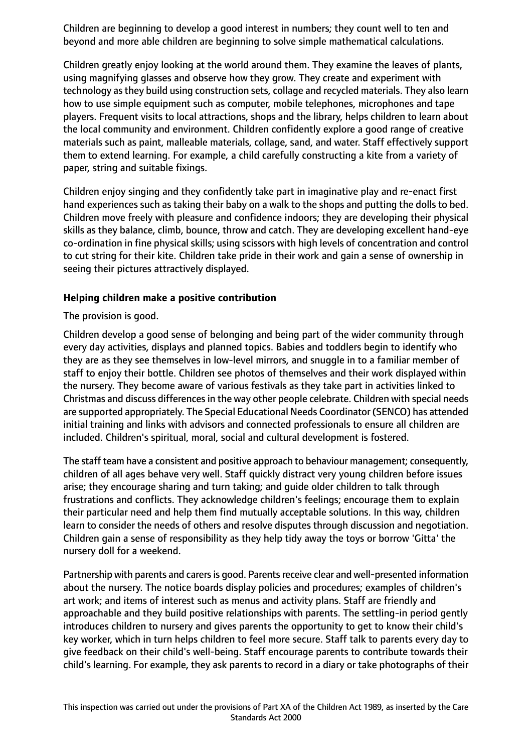Children are beginning to develop a good interest in numbers; they count well to ten and beyond and more able children are beginning to solve simple mathematical calculations.

Children greatly enjoy looking at the world around them. They examine the leaves of plants, using magnifying glasses and observe how they grow. They create and experiment with technology as they build using construction sets, collage and recycled materials. They also learn how to use simple equipment such as computer, mobile telephones, microphones and tape players. Frequent visits to local attractions, shops and the library, helps children to learn about the local community and environment. Children confidently explore a good range of creative materials such as paint, malleable materials, collage, sand, and water. Staff effectively support them to extend learning. For example, a child carefully constructing a kite from a variety of paper, string and suitable fixings.

Children enjoy singing and they confidently take part in imaginative play and re-enact first hand experiences such as taking their baby on a walk to the shops and putting the dolls to bed. Children move freely with pleasure and confidence indoors; they are developing their physical skills as they balance, climb, bounce, throw and catch. They are developing excellent hand-eye co-ordination in fine physical skills; using scissors with high levels of concentration and control to cut string for their kite. Children take pride in their work and gain a sense of ownership in seeing their pictures attractively displayed.

#### **Helping children make a positive contribution**

The provision is good.

Children develop a good sense of belonging and being part of the wider community through every day activities, displays and planned topics. Babies and toddlers begin to identify who they are as they see themselves in low-level mirrors, and snuggle in to a familiar member of staff to enjoy their bottle. Children see photos of themselves and their work displayed within the nursery. They become aware of various festivals as they take part in activities linked to Christmas and discuss differences in the way other people celebrate. Children with special needs are supported appropriately. The Special Educational Needs Coordinator (SENCO) has attended initial training and links with advisors and connected professionals to ensure all children are included. Children's spiritual, moral, social and cultural development is fostered.

The staff team have a consistent and positive approach to behaviour management; consequently, children of all ages behave very well. Staff quickly distract very young children before issues arise; they encourage sharing and turn taking; and guide older children to talk through frustrations and conflicts. They acknowledge children's feelings; encourage them to explain their particular need and help them find mutually acceptable solutions. In this way, children learn to consider the needs of others and resolve disputes through discussion and negotiation. Children gain a sense of responsibility as they help tidy away the toys or borrow 'Gitta' the nursery doll for a weekend.

Partnership with parents and carers is good. Parents receive clear and well-presented information about the nursery. The notice boards display policies and procedures; examples of children's art work; and items of interest such as menus and activity plans. Staff are friendly and approachable and they build positive relationships with parents. The settling-in period gently introduces children to nursery and gives parents the opportunity to get to know their child's key worker, which in turn helps children to feel more secure. Staff talk to parents every day to give feedback on their child's well-being. Staff encourage parents to contribute towards their child's learning. For example, they ask parents to record in a diary or take photographs of their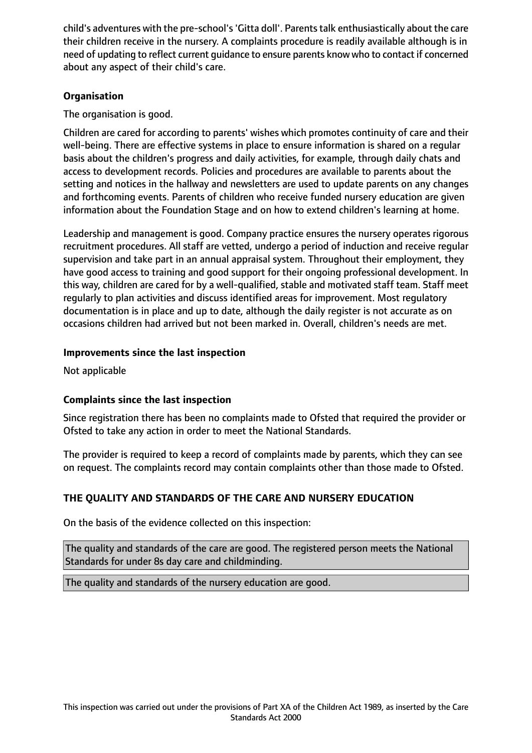child's adventures with the pre-school's'Gitta doll'. Parentstalk enthusiastically about the care their children receive in the nursery. A complaints procedure is readily available although is in need of updating to reflect current guidance to ensure parents know who to contact if concerned about any aspect of their child's care.

# **Organisation**

The organisation is good.

Children are cared for according to parents' wishes which promotes continuity of care and their well-being. There are effective systems in place to ensure information is shared on a regular basis about the children's progress and daily activities, for example, through daily chats and access to development records. Policies and procedures are available to parents about the setting and notices in the hallway and newsletters are used to update parents on any changes and forthcoming events. Parents of children who receive funded nursery education are given information about the Foundation Stage and on how to extend children's learning at home.

Leadership and management is good. Company practice ensures the nursery operates rigorous recruitment procedures. All staff are vetted, undergo a period of induction and receive regular supervision and take part in an annual appraisal system. Throughout their employment, they have good access to training and good support for their ongoing professional development. In this way, children are cared for by a well-qualified, stable and motivated staff team. Staff meet regularly to plan activities and discuss identified areas for improvement. Most regulatory documentation is in place and up to date, although the daily register is not accurate as on occasions children had arrived but not been marked in. Overall, children's needs are met.

# **Improvements since the last inspection**

Not applicable

# **Complaints since the last inspection**

Since registration there has been no complaints made to Ofsted that required the provider or Ofsted to take any action in order to meet the National Standards.

The provider is required to keep a record of complaints made by parents, which they can see on request. The complaints record may contain complaints other than those made to Ofsted.

# **THE QUALITY AND STANDARDS OF THE CARE AND NURSERY EDUCATION**

On the basis of the evidence collected on this inspection:

The quality and standards of the care are good. The registered person meets the National Standards for under 8s day care and childminding.

The quality and standards of the nursery education are good.